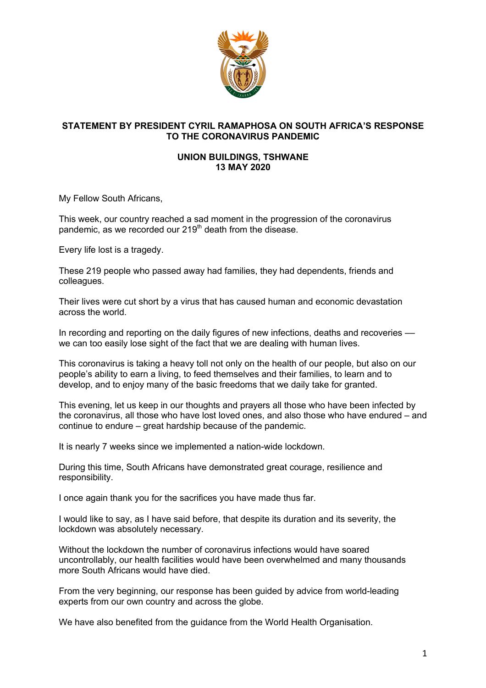

## **STATEMENT BY PRESIDENT CYRIL RAMAPHOSA ON SOUTH AFRICA'S RESPONSE TO THE CORONAVIRUS PANDEMIC**

## **UNION BUILDINGS, TSHWANE 13 MAY 2020**

My Fellow South Africans,

This week, our country reached a sad moment in the progression of the coronavirus pandemic, as we recorded our 219<sup>th</sup> death from the disease.

Every life lost is a tragedy.

These 219 people who passed away had families, they had dependents, friends and colleagues.

Their lives were cut short by a virus that has caused human and economic devastation across the world.

In recording and reporting on the daily figures of new infections, deaths and recoveries –– we can too easily lose sight of the fact that we are dealing with human lives.

This coronavirus is taking a heavy toll not only on the health of our people, but also on our people's ability to earn a living, to feed themselves and their families, to learn and to develop, and to enjoy many of the basic freedoms that we daily take for granted.

This evening, let us keep in our thoughts and prayers all those who have been infected by the coronavirus, all those who have lost loved ones, and also those who have endured – and continue to endure – great hardship because of the pandemic.

It is nearly 7 weeks since we implemented a nation-wide lockdown.

During this time, South Africans have demonstrated great courage, resilience and responsibility.

I once again thank you for the sacrifices you have made thus far.

I would like to say, as I have said before, that despite its duration and its severity, the lockdown was absolutely necessary.

Without the lockdown the number of coronavirus infections would have soared uncontrollably, our health facilities would have been overwhelmed and many thousands more South Africans would have died.

From the very beginning, our response has been guided by advice from world-leading experts from our own country and across the globe.

We have also benefited from the guidance from the World Health Organisation.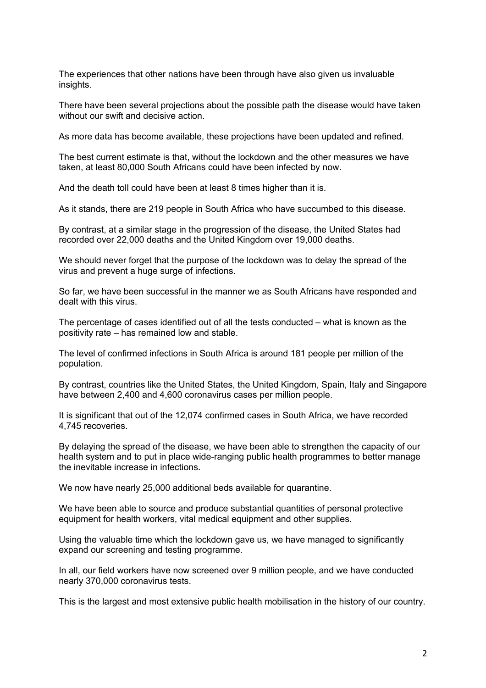The experiences that other nations have been through have also given us invaluable insights.

There have been several projections about the possible path the disease would have taken without our swift and decisive action.

As more data has become available, these projections have been updated and refined.

The best current estimate is that, without the lockdown and the other measures we have taken, at least 80,000 South Africans could have been infected by now.

And the death toll could have been at least 8 times higher than it is.

As it stands, there are 219 people in South Africa who have succumbed to this disease.

By contrast, at a similar stage in the progression of the disease, the United States had recorded over 22,000 deaths and the United Kingdom over 19,000 deaths.

We should never forget that the purpose of the lockdown was to delay the spread of the virus and prevent a huge surge of infections.

So far, we have been successful in the manner we as South Africans have responded and dealt with this virus.

The percentage of cases identified out of all the tests conducted – what is known as the positivity rate – has remained low and stable.

The level of confirmed infections in South Africa is around 181 people per million of the population.

By contrast, countries like the United States, the United Kingdom, Spain, Italy and Singapore have between 2,400 and 4,600 coronavirus cases per million people.

It is significant that out of the 12,074 confirmed cases in South Africa, we have recorded 4,745 recoveries.

By delaying the spread of the disease, we have been able to strengthen the capacity of our health system and to put in place wide-ranging public health programmes to better manage the inevitable increase in infections.

We now have nearly 25,000 additional beds available for quarantine.

We have been able to source and produce substantial quantities of personal protective equipment for health workers, vital medical equipment and other supplies.

Using the valuable time which the lockdown gave us, we have managed to significantly expand our screening and testing programme.

In all, our field workers have now screened over 9 million people, and we have conducted nearly 370,000 coronavirus tests.

This is the largest and most extensive public health mobilisation in the history of our country.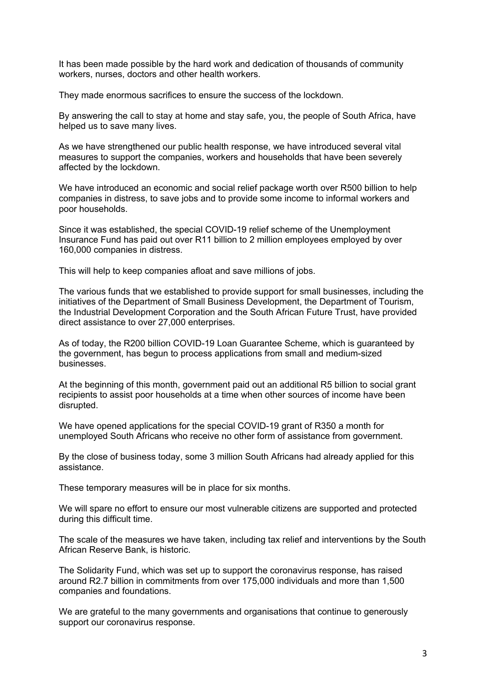It has been made possible by the hard work and dedication of thousands of community workers, nurses, doctors and other health workers.

They made enormous sacrifices to ensure the success of the lockdown.

By answering the call to stay at home and stay safe, you, the people of South Africa, have helped us to save many lives.

As we have strengthened our public health response, we have introduced several vital measures to support the companies, workers and households that have been severely affected by the lockdown.

We have introduced an economic and social relief package worth over R500 billion to help companies in distress, to save jobs and to provide some income to informal workers and poor households.

Since it was established, the special COVID-19 relief scheme of the Unemployment Insurance Fund has paid out over R11 billion to 2 million employees employed by over 160,000 companies in distress.

This will help to keep companies afloat and save millions of jobs.

The various funds that we established to provide support for small businesses, including the initiatives of the Department of Small Business Development, the Department of Tourism, the Industrial Development Corporation and the South African Future Trust, have provided direct assistance to over 27,000 enterprises.

As of today, the R200 billion COVID-19 Loan Guarantee Scheme, which is guaranteed by the government, has begun to process applications from small and medium-sized businesses.

At the beginning of this month, government paid out an additional R5 billion to social grant recipients to assist poor households at a time when other sources of income have been disrupted.

We have opened applications for the special COVID-19 grant of R350 a month for unemployed South Africans who receive no other form of assistance from government.

By the close of business today, some 3 million South Africans had already applied for this assistance.

These temporary measures will be in place for six months.

We will spare no effort to ensure our most vulnerable citizens are supported and protected during this difficult time.

The scale of the measures we have taken, including tax relief and interventions by the South African Reserve Bank, is historic.

The Solidarity Fund, which was set up to support the coronavirus response, has raised around R2.7 billion in commitments from over 175,000 individuals and more than 1,500 companies and foundations.

We are grateful to the many governments and organisations that continue to generously support our coronavirus response.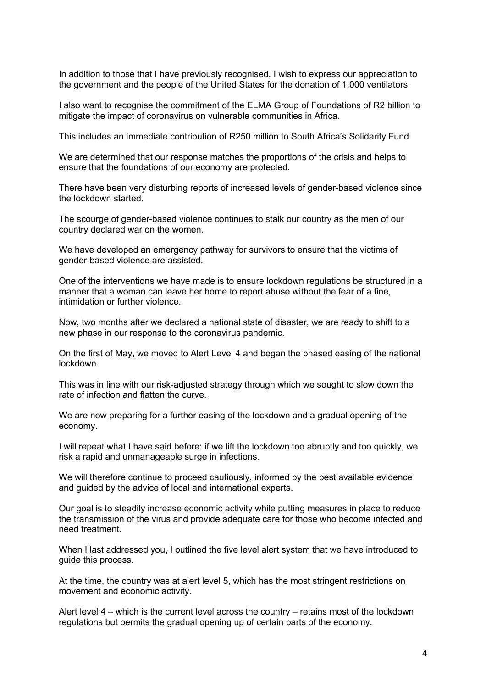In addition to those that I have previously recognised, I wish to express our appreciation to the government and the people of the United States for the donation of 1,000 ventilators.

I also want to recognise the commitment of the ELMA Group of Foundations of R2 billion to mitigate the impact of coronavirus on vulnerable communities in Africa.

This includes an immediate contribution of R250 million to South Africa's Solidarity Fund.

We are determined that our response matches the proportions of the crisis and helps to ensure that the foundations of our economy are protected.

There have been very disturbing reports of increased levels of gender-based violence since the lockdown started.

The scourge of gender-based violence continues to stalk our country as the men of our country declared war on the women.

We have developed an emergency pathway for survivors to ensure that the victims of gender-based violence are assisted.

One of the interventions we have made is to ensure lockdown regulations be structured in a manner that a woman can leave her home to report abuse without the fear of a fine, intimidation or further violence.

Now, two months after we declared a national state of disaster, we are ready to shift to a new phase in our response to the coronavirus pandemic.

On the first of May, we moved to Alert Level 4 and began the phased easing of the national lockdown.

This was in line with our risk-adjusted strategy through which we sought to slow down the rate of infection and flatten the curve.

We are now preparing for a further easing of the lockdown and a gradual opening of the economy.

I will repeat what I have said before: if we lift the lockdown too abruptly and too quickly, we risk a rapid and unmanageable surge in infections.

We will therefore continue to proceed cautiously, informed by the best available evidence and guided by the advice of local and international experts.

Our goal is to steadily increase economic activity while putting measures in place to reduce the transmission of the virus and provide adequate care for those who become infected and need treatment.

When I last addressed you, I outlined the five level alert system that we have introduced to guide this process.

At the time, the country was at alert level 5, which has the most stringent restrictions on movement and economic activity.

Alert level 4 – which is the current level across the country – retains most of the lockdown regulations but permits the gradual opening up of certain parts of the economy.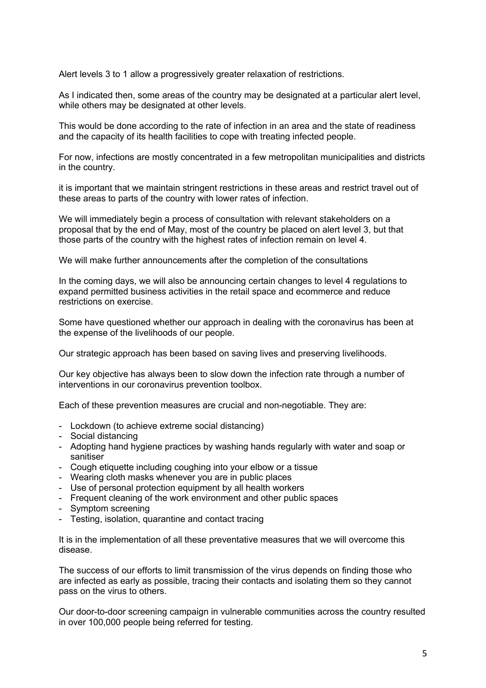Alert levels 3 to 1 allow a progressively greater relaxation of restrictions.

As I indicated then, some areas of the country may be designated at a particular alert level, while others may be designated at other levels.

This would be done according to the rate of infection in an area and the state of readiness and the capacity of its health facilities to cope with treating infected people.

For now, infections are mostly concentrated in a few metropolitan municipalities and districts in the country.

it is important that we maintain stringent restrictions in these areas and restrict travel out of these areas to parts of the country with lower rates of infection.

We will immediately begin a process of consultation with relevant stakeholders on a proposal that by the end of May, most of the country be placed on alert level 3, but that those parts of the country with the highest rates of infection remain on level 4.

We will make further announcements after the completion of the consultations

In the coming days, we will also be announcing certain changes to level 4 regulations to expand permitted business activities in the retail space and ecommerce and reduce restrictions on exercise.

Some have questioned whether our approach in dealing with the coronavirus has been at the expense of the livelihoods of our people.

Our strategic approach has been based on saving lives and preserving livelihoods.

Our key objective has always been to slow down the infection rate through a number of interventions in our coronavirus prevention toolbox.

Each of these prevention measures are crucial and non-negotiable. They are:

- Lockdown (to achieve extreme social distancing)
- Social distancing
- Adopting hand hygiene practices by washing hands regularly with water and soap or sanitiser
- Cough etiquette including coughing into your elbow or a tissue
- Wearing cloth masks whenever you are in public places
- Use of personal protection equipment by all health workers
- Frequent cleaning of the work environment and other public spaces
- Symptom screening
- Testing, isolation, quarantine and contact tracing

It is in the implementation of all these preventative measures that we will overcome this disease.

The success of our efforts to limit transmission of the virus depends on finding those who are infected as early as possible, tracing their contacts and isolating them so they cannot pass on the virus to others.

Our door-to-door screening campaign in vulnerable communities across the country resulted in over 100,000 people being referred for testing.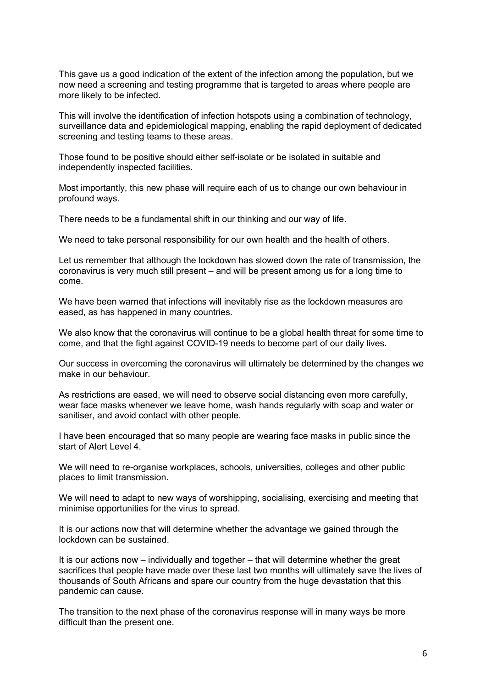This gave us a good indication of the extent of the infection among the population, but we now need a screening and testing programme that is targeted to areas where people are more likely to be infected.

This will involve the identification of infection hotspots using a combination of technology, surveillance data and epidemiological mapping, enabling the rapid deployment of dedicated screening and testing teams to these areas.

Those found to be positive should either self-isolate or be isolated in suitable and independently inspected facilities.

Most importantly, this new phase will require each of us to change our own behaviour in profound ways.

There needs to be a fundamental shift in our thinking and our way of life.

We need to take personal responsibility for our own health and the health of others.

Let us remember that although the lockdown has slowed down the rate of transmission, the coronavirus is very much still present – and will be present among us for a long time to come.

We have been warned that infections will inevitably rise as the lockdown measures are eased, as has happened in many countries.

We also know that the coronavirus will continue to be a global health threat for some time to come, and that the fight against COVID-19 needs to become part of our daily lives.

Our success in overcoming the coronavirus will ultimately be determined by the changes we make in our behaviour.

As restrictions are eased, we will need to observe social distancing even more carefully, wear face masks whenever we leave home, wash hands regularly with soap and water or sanitiser, and avoid contact with other people.

I have been encouraged that so many people are wearing face masks in public since the start of Alert Level 4.

We will need to re-organise workplaces, schools, universities, colleges and other public places to limit transmission.

We will need to adapt to new ways of worshipping, socialising, exercising and meeting that minimise opportunities for the virus to spread.

It is our actions now that will determine whether the advantage we gained through the lockdown can be sustained.

It is our actions now – individually and together – that will determine whether the great sacrifices that people have made over these last two months will ultimately save the lives of thousands of South Africans and spare our country from the huge devastation that this pandemic can cause.

The transition to the next phase of the coronavirus response will in many ways be more difficult than the present one.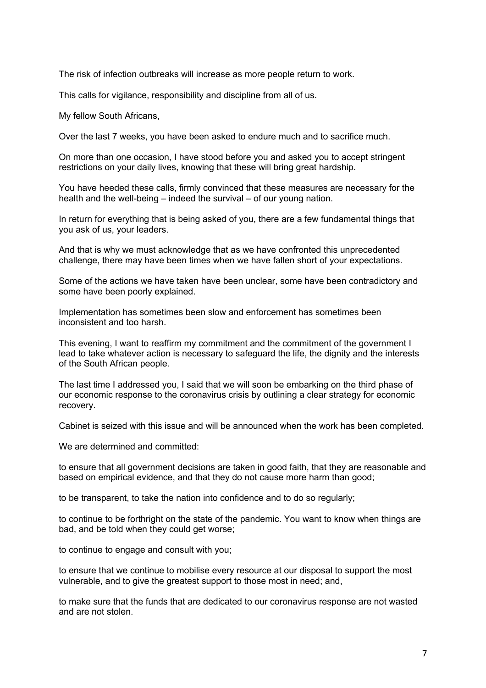The risk of infection outbreaks will increase as more people return to work.

This calls for vigilance, responsibility and discipline from all of us.

My fellow South Africans,

Over the last 7 weeks, you have been asked to endure much and to sacrifice much.

On more than one occasion, I have stood before you and asked you to accept stringent restrictions on your daily lives, knowing that these will bring great hardship.

You have heeded these calls, firmly convinced that these measures are necessary for the health and the well-being – indeed the survival – of our young nation.

In return for everything that is being asked of you, there are a few fundamental things that you ask of us, your leaders.

And that is why we must acknowledge that as we have confronted this unprecedented challenge, there may have been times when we have fallen short of your expectations.

Some of the actions we have taken have been unclear, some have been contradictory and some have been poorly explained.

Implementation has sometimes been slow and enforcement has sometimes been inconsistent and too harsh.

This evening, I want to reaffirm my commitment and the commitment of the government I lead to take whatever action is necessary to safeguard the life, the dignity and the interests of the South African people.

The last time I addressed you, I said that we will soon be embarking on the third phase of our economic response to the coronavirus crisis by outlining a clear strategy for economic recovery.

Cabinet is seized with this issue and will be announced when the work has been completed.

We are determined and committed:

to ensure that all government decisions are taken in good faith, that they are reasonable and based on empirical evidence, and that they do not cause more harm than good;

to be transparent, to take the nation into confidence and to do so regularly;

to continue to be forthright on the state of the pandemic. You want to know when things are bad, and be told when they could get worse;

to continue to engage and consult with you;

to ensure that we continue to mobilise every resource at our disposal to support the most vulnerable, and to give the greatest support to those most in need; and,

to make sure that the funds that are dedicated to our coronavirus response are not wasted and are not stolen.